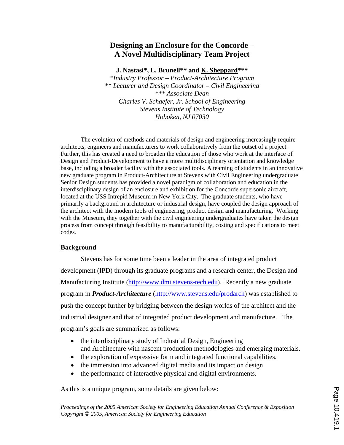# **Designing an Enclosure for the Concorde – A Novel Multidisciplinary Team Project**

**J. Nastasi\*, L. Brunell\*\* and K. Sheppard\*\*\*** 

*\*Industry Professor – Product-Architecture Program \*\* Lecturer and Design Coordinator – Civil Engineering \*\*\* Associate Dean Charles V. Schaefer, Jr. School of Engineering Stevens Institute of Technology Hoboken, NJ 07030* 

The evolution of methods and materials of design and engineering increasingly require architects, engineers and manufacturers to work collaboratively from the outset of a project. Further, this has created a need to broaden the education of those who work at the interface of Design and Product-Development to have a more multidisciplinary orientation and knowledge base, including a broader facility with the associated tools. A teaming of students in an innovative new graduate program in Product-Architecture at Stevens with Civil Engineering undergraduate Senior Design students has provided a novel paradigm of collaboration and education in the interdisciplinary design of an enclosure and exhibition for the Concorde supersonic aircraft, located at the USS Intrepid Museum in New York City. The graduate students, who have primarily a background in architecture or industrial design, have coupled the design approach of the architect with the modern tools of engineering, product design and manufacturing. Working with the Museum, they together with the civil engineering undergraduates have taken the design process from concept through feasibility to manufacturability, costing and specifications to meet codes.

### **Background**

Stevens has for some time been a leader in the area of integrated product development (IPD) through its graduate programs and a research center, the Design and Manufacturing Institute (http://www.dmi.stevens-tech.edu). Recently a new graduate program in *Product-Architecture* (http://www.stevens.edu/prodarch) was established to push the concept further by bridging between the design worlds of the architect and the industrial designer and that of integrated product development and manufacture. The program's goals are summarized as follows:

- the interdisciplinary study of Industrial Design, Engineering and Architecture with nascent production methodologies and emerging materials.
- the exploration of expressive form and integrated functional capabilities.
- the immersion into advanced digital media and its impact on design
- the performance of interactive physical and digital environments.

As this is a unique program, some details are given below: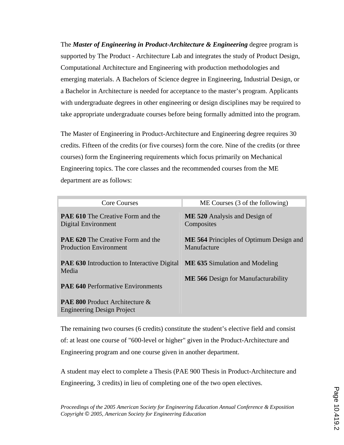The *Master of Engineering in Product-Architecture & Engineering* degree program is supported by The Product - Architecture Lab and integrates the study of Product Design, Computational Architecture and Engineering with production methodologies and emerging materials. A Bachelors of Science degree in Engineering, Industrial Design, or a Bachelor in Architecture is needed for acceptance to the master's program. Applicants with undergraduate degrees in other engineering or design disciplines may be required to take appropriate undergraduate courses before being formally admitted into the program.

The Master of Engineering in Product-Architecture and Engineering degree requires 30 credits. Fifteen of the credits (or five courses) form the core. Nine of the credits (or three courses) form the Engineering requirements which focus primarily on Mechanical Engineering topics. The core classes and the recommended courses from the ME department are as follows:

| <b>Core Courses</b>                                                                        | ME Courses (3 of the following)                               |
|--------------------------------------------------------------------------------------------|---------------------------------------------------------------|
| <b>PAE 610</b> The Creative Form and the<br>Digital Environment                            | <b>ME 520</b> Analysis and Design of<br>Composites            |
| <b>PAE 620</b> The Creative Form and the<br><b>Production Environment</b>                  | <b>ME 564</b> Principles of Optimum Design and<br>Manufacture |
| <b>PAE 630</b> Introduction to Interactive Digital ME 635 Simulation and Modeling<br>Media |                                                               |
| <b>PAE 640 Performative Environments</b>                                                   | <b>ME 566</b> Design for Manufacturability                    |
| <b>PAE 800 Product Architecture &amp;</b><br><b>Engineering Design Project</b>             |                                                               |

The remaining two courses (6 credits) constitute the student's elective field and consist of: at least one course of "600-level or higher" given in the Product-Architecture and Engineering program and one course given in another department.

A student may elect to complete a Thesis (PAE 900 Thesis in Product-Architecture and Engineering, 3 credits) in lieu of completing one of the two open electives.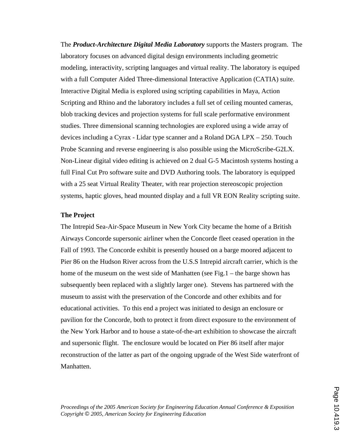The *Product-Architecture Digital Media Laboratory* supports the Masters program. The laboratory focuses on advanced digital design environments including geometric modeling, interactivity, scripting languages and virtual reality. The laboratory is equiped with a full Computer Aided Three-dimensional Interactive Application (CATIA) suite. Interactive Digital Media is explored using scripting capabilities in Maya, Action Scripting and Rhino and the laboratory includes a full set of ceiling mounted cameras, blob tracking devices and projection systems for full scale performative environment studies. Three dimensional scanning technologies are explored using a wide array of devices including a Cyrax - Lidar type scanner and a Roland DGA LPX – 250. Touch Probe Scanning and reverse engineering is also possible using the MicroScribe-G2LX. Non-Linear digital video editing is achieved on 2 dual G-5 Macintosh systems hosting a full Final Cut Pro software suite and DVD Authoring tools. The laboratory is equipped with a 25 seat Virtual Reality Theater, with rear projection stereoscopic projection systems, haptic gloves, head mounted display and a full VR EON Reality scripting suite.

#### **The Project**

The Intrepid Sea-Air-Space Museum in New York City became the home of a British Airways Concorde supersonic airliner when the Concorde fleet ceased operation in the Fall of 1993. The Concorde exhibit is presently housed on a barge moored adjacent to Pier 86 on the Hudson River across from the U.S.S Intrepid aircraft carrier, which is the home of the museum on the west side of Manhatten (see Fig. 1 – the barge shown has subsequently been replaced with a slightly larger one). Stevens has partnered with the museum to assist with the preservation of the Concorde and other exhibits and for educational activities. To this end a project was initiated to design an enclosure or pavilion for the Concorde, both to protect it from direct exposure to the environment of the New York Harbor and to house a state-of-the-art exhibition to showcase the aircraft and supersonic flight. The enclosure would be located on Pier 86 itself after major reconstruction of the latter as part of the ongoing upgrade of the West Side waterfront of Manhatten.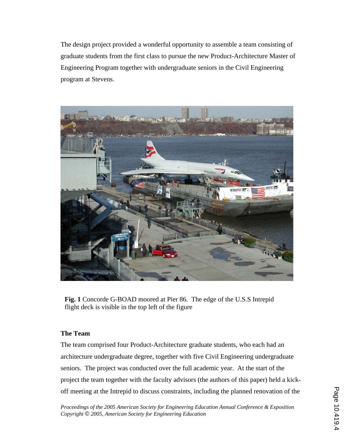The design project provided a wonderful opportunity to assemble a team consisting of graduate students from the first class to pursue the new Product-Architecture Master of Engineering Program together with undergraduate seniors in the Civil Engineering program at Stevens.



**Fig. 1** Concorde G-BOAD moored at Pier 86. The edge of the U.S.S Intrepid flight deck is visible in the top left of the figure

# **The Team**

The team comprised four Product-Architecture graduate students, who each had an architecture undergraduate degree, together with five Civil Engineering undergraduate seniors. The project was conducted over the full academic year. At the start of the project the team together with the faculty advisors (the authors of this paper) held a kickoff meeting at the Intrepid to discuss constraints, including the planned renovation of the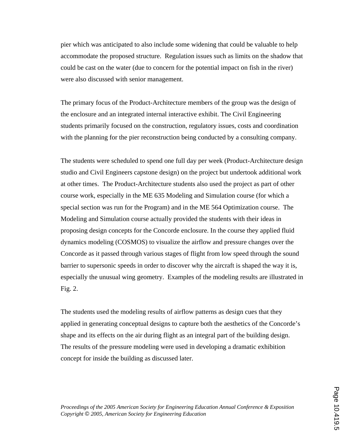pier which was anticipated to also include some widening that could be valuable to help accommodate the proposed structure. Regulation issues such as limits on the shadow that could be cast on the water (due to concern for the potential impact on fish in the river) were also discussed with senior management.

The primary focus of the Product-Architecture members of the group was the design of the enclosure and an integrated internal interactive exhibit. The Civil Engineering students primarily focused on the construction, regulatory issues, costs and coordination with the planning for the pier reconstruction being conducted by a consulting company.

The students were scheduled to spend one full day per week (Product-Architecture design studio and Civil Engineers capstone design) on the project but undertook additional work at other times. The Product-Architecture students also used the project as part of other course work, especially in the ME 635 Modeling and Simulation course (for which a special section was run for the Program) and in the ME 564 Optimization course. The Modeling and Simulation course actually provided the students with their ideas in proposing design concepts for the Concorde enclosure. In the course they applied fluid dynamics modeling (COSMOS) to visualize the airflow and pressure changes over the Concorde as it passed through various stages of flight from low speed through the sound barrier to supersonic speeds in order to discover why the aircraft is shaped the way it is, especially the unusual wing geometry. Examples of the modeling results are illustrated in Fig. 2.

The students used the modeling results of airflow patterns as design cues that they applied in generating conceptual designs to capture both the aesthetics of the Concorde's shape and its effects on the air during flight as an integral part of the building design. The results of the pressure modeling were used in developing a dramatic exhibition concept for inside the building as discussed later.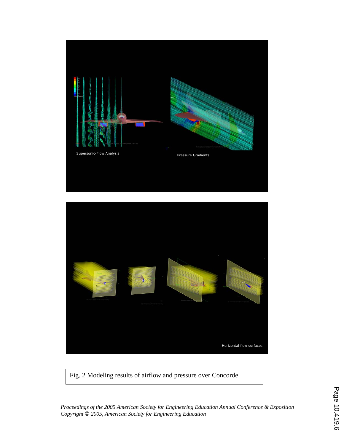



Fig. 2 Modeling results of airflow and pressure over Concorde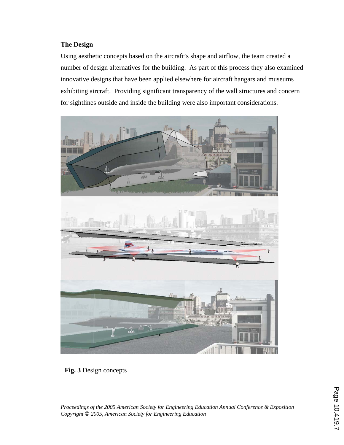# **The Design**

Using aesthetic concepts based on the aircraft's shape and airflow, the team created a number of design alternatives for the building. As part of this process they also examined innovative designs that have been applied elsewhere for aircraft hangars and museums exhibiting aircraft. Providing significant transparency of the wall structures and concern for sightlines outside and inside the building were also important considerations.



**Fig. 3** Design concepts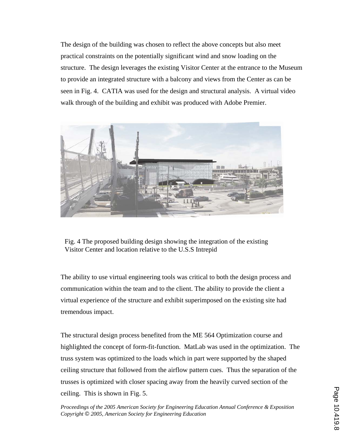The design of the building was chosen to reflect the above concepts but also meet practical constraints on the potentially significant wind and snow loading on the structure. The design leverages the existing Visitor Center at the entrance to the Museum to provide an integrated structure with a balcony and views from the Center as can be seen in Fig. 4. CATIA was used for the design and structural analysis. A virtual video walk through of the building and exhibit was produced with Adobe Premier.



Fig. 4 The proposed building design showing the integration of the existing Visitor Center and location relative to the U.S.S Intrepid

The ability to use virtual engineering tools was critical to both the design process and communication within the team and to the client. The ability to provide the client a virtual experience of the structure and exhibit superimposed on the existing site had tremendous impact.

The structural design process benefited from the ME 564 Optimization course and highlighted the concept of form-fit-function. MatLab was used in the optimization. The truss system was optimized to the loads which in part were supported by the shaped ceiling structure that followed from the airflow pattern cues. Thus the separation of the trusses is optimized with closer spacing away from the heavily curved section of the ceiling. This is shown in Fig. 5.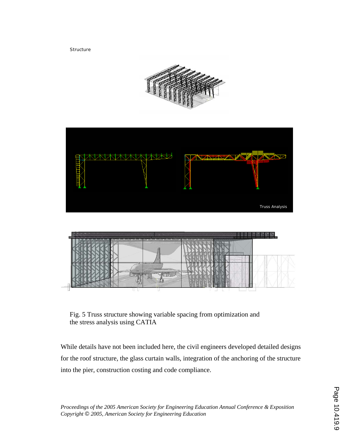**Structure** 





Fig. 5 Truss structure showing variable spacing from optimization and the stress analysis using CATIA

While details have not been included here, the civil engineers developed detailed designs for the roof structure, the glass curtain walls, integration of the anchoring of the structure into the pier, construction costing and code compliance.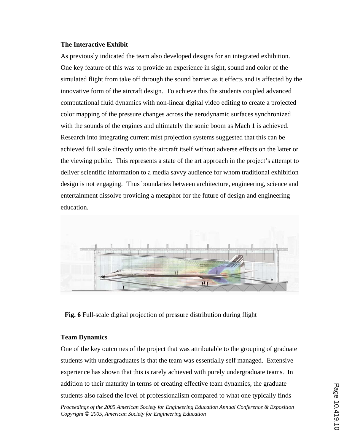#### **The Interactive Exhibit**

As previously indicated the team also developed designs for an integrated exhibition. One key feature of this was to provide an experience in sight, sound and color of the simulated flight from take off through the sound barrier as it effects and is affected by the innovative form of the aircraft design. To achieve this the students coupled advanced computational fluid dynamics with non-linear digital video editing to create a projected color mapping of the pressure changes across the aerodynamic surfaces synchronized with the sounds of the engines and ultimately the sonic boom as Mach 1 is achieved. Research into integrating current mist projection systems suggested that this can be achieved full scale directly onto the aircraft itself without adverse effects on the latter or the viewing public. This represents a state of the art approach in the project's attempt to deliver scientific information to a media savvy audience for whom traditional exhibition design is not engaging. Thus boundaries between architecture, engineering, science and entertainment dissolve providing a metaphor for the future of design and engineering education.



**Fig. 6** Full-scale digital projection of pressure distribution during flight

### **Team Dynamics**

*Proceedings of the 2005 American Society for Engineering Education Annual Conference & Exposition Copyright* © *2005, American Society for Engineering Education* One of the key outcomes of the project that was attributable to the grouping of graduate students with undergraduates is that the team was essentially self managed. Extensive experience has shown that this is rarely achieved with purely undergraduate teams. In addition to their maturity in terms of creating effective team dynamics, the graduate students also raised the level of professionalism compared to what one typically finds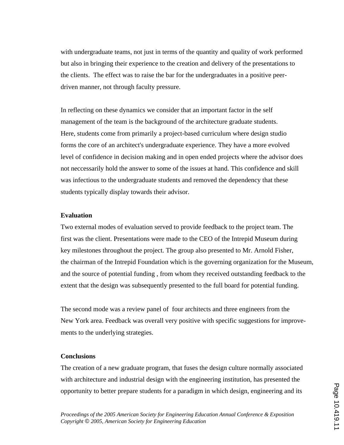with undergraduate teams, not just in terms of the quantity and quality of work performed but also in bringing their experience to the creation and delivery of the presentations to the clients. The effect was to raise the bar for the undergraduates in a positive peerdriven manner, not through faculty pressure.

In reflecting on these dynamics we consider that an important factor in the self management of the team is the background of the architecture graduate students. Here, students come from primarily a project-based curriculum where design studio forms the core of an architect's undergraduate experience. They have a more evolved level of confidence in decision making and in open ended projects where the advisor does not neccessarily hold the answer to some of the issues at hand. This confidence and skill was infectious to the undergraduate students and removed the dependency that these students typically display towards their advisor.

### **Evaluation**

Two external modes of evaluation served to provide feedback to the project team. The first was the client. Presentations were made to the CEO of the Intrepid Museum during key milestones throughout the project. The group also presented to Mr. Arnold Fisher, the chairman of the Intrepid Foundation which is the governing organization for the Museum, and the source of potential funding , from whom they received outstanding feedback to the extent that the design was subsequently presented to the full board for potential funding.

The second mode was a review panel of four architects and three engineers from the New York area. Feedback was overall very positive with specific suggestions for improvements to the underlying strategies.

# **Conclusions**

The creation of a new graduate program, that fuses the design culture normally associated with architecture and industrial design with the engineering institution, has presented the opportunity to better prepare students for a paradigm in which design, engineering and its